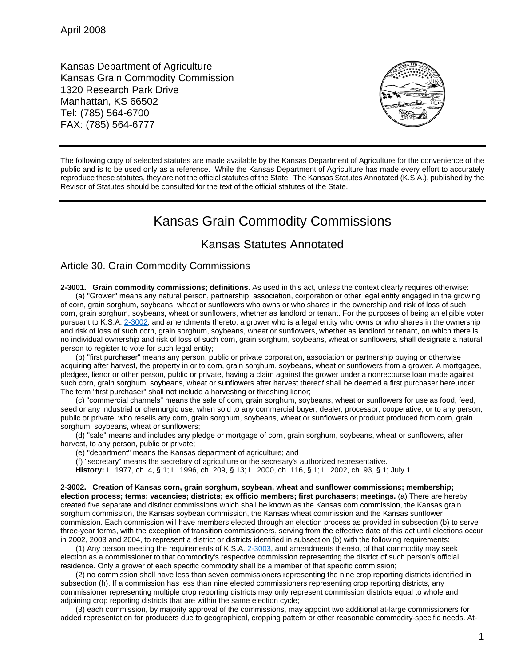Kansas Department of Agriculture Kansas Grain Commodity Commission 1320 Research Park Drive Manhattan, KS 66502 Tel: (785) 564-6700 FAX: (785) 564-6777



The following copy of selected statutes are made available by the Kansas Department of Agriculture for the convenience of the public and is to be used only as a reference. While the Kansas Department of Agriculture has made every effort to accurately reproduce these statutes, they are not the official statutes of the State. The Kansas Statutes Annotated (K.S.A.), published by the Revisor of Statutes should be consulted for the text of the official statutes of the State.

## Kansas Grain Commodity Commissions

## Kansas Statutes Annotated

## Article 30. Grain Commodity Commissions

**2-3001. Grain commodity commissions; definitions**. As used in this act, unless the context clearly requires otherwise: (a) "Grower" means any natural person, partnership, association, corporation or other legal entity engaged in the growing of corn, grain sorghum, soybeans, wheat or sunflowers who owns or who shares in the ownership and risk of loss of such corn, grain sorghum, soybeans, wheat or sunflowers, whether as landlord or tenant. For the purposes of being an eligible voter pursuant to K.S.A. [2-3002,](http://www.ksrevisor.org/statutes/chapters/ch02/002_030_0002.html) and amendments thereto, a grower who is a legal entity who owns or who shares in the ownership and risk of loss of such corn, grain sorghum, soybeans, wheat or sunflowers, whether as landlord or tenant, on which there is no individual ownership and risk of loss of such corn, grain sorghum, soybeans, wheat or sunflowers, shall designate a natural person to register to vote for such legal entity;

(b) "first purchaser" means any person, public or private corporation, association or partnership buying or otherwise acquiring after harvest, the property in or to corn, grain sorghum, soybeans, wheat or sunflowers from a grower. A mortgagee, pledgee, lienor or other person, public or private, having a claim against the grower under a nonrecourse loan made against such corn, grain sorghum, soybeans, wheat or sunflowers after harvest thereof shall be deemed a first purchaser hereunder. The term "first purchaser" shall not include a harvesting or threshing lienor;

(c) "commercial channels" means the sale of corn, grain sorghum, soybeans, wheat or sunflowers for use as food, feed, seed or any industrial or chemurgic use, when sold to any commercial buyer, dealer, processor, cooperative, or to any person, public or private, who resells any corn, grain sorghum, soybeans, wheat or sunflowers or product produced from corn, grain sorghum, soybeans, wheat or sunflowers;

(d) "sale" means and includes any pledge or mortgage of corn, grain sorghum, soybeans, wheat or sunflowers, after harvest, to any person, public or private;

(e) "department" means the Kansas department of agriculture; and

(f) "secretary" means the secretary of agriculture or the secretary's authorized representative.

**History:** L. 1977, ch. 4, § 1; L. 1996, ch. 209, § 13; L. 2000, ch. 116, § 1; L. 2002, ch. 93, § 1; July 1.

**2-3002. Creation of Kansas corn, grain sorghum, soybean, wheat and sunflower commissions; membership; election process; terms; vacancies; districts; ex officio members; first purchasers; meetings.** (a) There are hereby created five separate and distinct commissions which shall be known as the Kansas corn commission, the Kansas grain sorghum commission, the Kansas soybean commission, the Kansas wheat commission and the Kansas sunflower commission. Each commission will have members elected through an election process as provided in subsection (b) to serve three-year terms, with the exception of transition commissioners, serving from the effective date of this act until elections occur in 2002, 2003 and 2004, to represent a district or districts identified in subsection (b) with the following requirements:

(1) Any person meeting the requirements of K.S.A. [2-3003,](http://www.ksrevisor.org/statutes/chapters/ch02/002_030_0003.html) and amendments thereto, of that commodity may seek election as a commissioner to that commodity's respective commission representing the district of such person's official residence. Only a grower of each specific commodity shall be a member of that specific commission;

(2) no commission shall have less than seven commissioners representing the nine crop reporting districts identified in subsection (h). If a commission has less than nine elected commissioners representing crop reporting districts, any commissioner representing multiple crop reporting districts may only represent commission districts equal to whole and adjoining crop reporting districts that are within the same election cycle;

(3) each commission, by majority approval of the commissions, may appoint two additional at-large commissioners for added representation for producers due to geographical, cropping pattern or other reasonable commodity-specific needs. At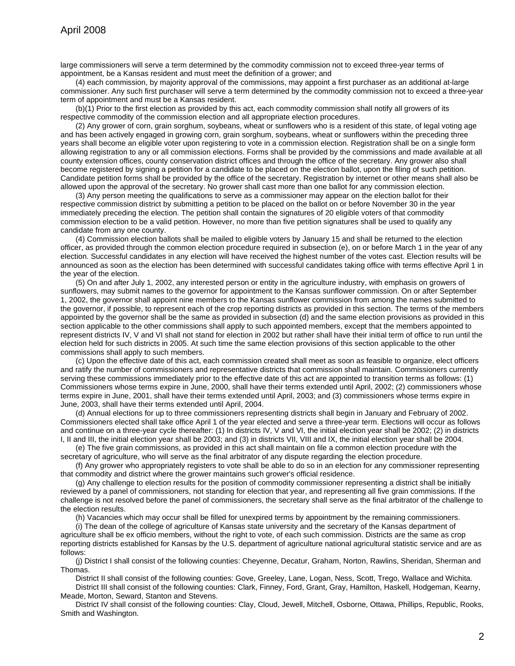large commissioners will serve a term determined by the commodity commission not to exceed three-year terms of appointment, be a Kansas resident and must meet the definition of a grower; and

(4) each commission, by majority approval of the commissions, may appoint a first purchaser as an additional at-large commissioner. Any such first purchaser will serve a term determined by the commodity commission not to exceed a three-year term of appointment and must be a Kansas resident.

(b)(1) Prior to the first election as provided by this act, each commodity commission shall notify all growers of its respective commodity of the commission election and all appropriate election procedures.

(2) Any grower of corn, grain sorghum, soybeans, wheat or sunflowers who is a resident of this state, of legal voting age and has been actively engaged in growing corn, grain sorghum, soybeans, wheat or sunflowers within the preceding three years shall become an eligible voter upon registering to vote in a commission election. Registration shall be on a single form allowing registration to any or all commission elections. Forms shall be provided by the commissions and made available at all county extension offices, county conservation district offices and through the office of the secretary. Any grower also shall become registered by signing a petition for a candidate to be placed on the election ballot, upon the filing of such petition. Candidate petition forms shall be provided by the office of the secretary. Registration by internet or other means shall also be allowed upon the approval of the secretary. No grower shall cast more than one ballot for any commission election.

(3) Any person meeting the qualifications to serve as a commissioner may appear on the election ballot for their respective commission district by submitting a petition to be placed on the ballot on or before November 30 in the year immediately preceding the election. The petition shall contain the signatures of 20 eligible voters of that commodity commission election to be a valid petition. However, no more than five petition signatures shall be used to qualify any candidate from any one county.

(4) Commission election ballots shall be mailed to eligible voters by January 15 and shall be returned to the election officer, as provided through the common election procedure required in subsection (e), on or before March 1 in the year of any election. Successful candidates in any election will have received the highest number of the votes cast. Election results will be announced as soon as the election has been determined with successful candidates taking office with terms effective April 1 in the year of the election.

(5) On and after July 1, 2002, any interested person or entity in the agriculture industry, with emphasis on growers of sunflowers, may submit names to the governor for appointment to the Kansas sunflower commission. On or after September 1, 2002, the governor shall appoint nine members to the Kansas sunflower commission from among the names submitted to the governor, if possible, to represent each of the crop reporting districts as provided in this section. The terms of the members appointed by the governor shall be the same as provided in subsection (d) and the same election provisions as provided in this section applicable to the other commissions shall apply to such appointed members, except that the members appointed to represent districts IV, V and VI shall not stand for election in 2002 but rather shall have their initial term of office to run until the election held for such districts in 2005. At such time the same election provisions of this section applicable to the other commissions shall apply to such members.

(c) Upon the effective date of this act, each commission created shall meet as soon as feasible to organize, elect officers and ratify the number of commissioners and representative districts that commission shall maintain. Commissioners currently serving these commissions immediately prior to the effective date of this act are appointed to transition terms as follows: (1) Commissioners whose terms expire in June, 2000, shall have their terms extended until April, 2002; (2) commissioners whose terms expire in June, 2001, shall have their terms extended until April, 2003; and (3) commissioners whose terms expire in June, 2003, shall have their terms extended until April, 2004.

(d) Annual elections for up to three commissioners representing districts shall begin in January and February of 2002. Commissioners elected shall take office April 1 of the year elected and serve a three-year term. Elections will occur as follows and continue on a three-year cycle thereafter: (1) In districts IV, V and VI, the initial election year shall be 2002; (2) in districts I, II and III, the initial election year shall be 2003; and (3) in districts VII, VIII and IX, the initial election year shall be 2004.

(e) The five grain commissions, as provided in this act shall maintain on file a common election procedure with the secretary of agriculture, who will serve as the final arbitrator of any dispute regarding the election procedure.

(f) Any grower who appropriately registers to vote shall be able to do so in an election for any commissioner representing that commodity and district where the grower maintains such grower's official residence.

(g) Any challenge to election results for the position of commodity commissioner representing a district shall be initially reviewed by a panel of commissioners, not standing for election that year, and representing all five grain commissions. If the challenge is not resolved before the panel of commissioners, the secretary shall serve as the final arbitrator of the challenge to the election results.

(h) Vacancies which may occur shall be filled for unexpired terms by appointment by the remaining commissioners.

(i) The dean of the college of agriculture of Kansas state university and the secretary of the Kansas department of agriculture shall be ex officio members, without the right to vote, of each such commission. Districts are the same as crop reporting districts established for Kansas by the U.S. department of agriculture national agricultural statistic service and are as follows:

(j) District I shall consist of the following counties: Cheyenne, Decatur, Graham, Norton, Rawlins, Sheridan, Sherman and Thomas.

District II shall consist of the following counties: Gove, Greeley, Lane, Logan, Ness, Scott, Trego, Wallace and Wichita.

District III shall consist of the following counties: Clark, Finney, Ford, Grant, Gray, Hamilton, Haskell, Hodgeman, Kearny, Meade, Morton, Seward, Stanton and Stevens.

District IV shall consist of the following counties: Clay, Cloud, Jewell, Mitchell, Osborne, Ottawa, Phillips, Republic, Rooks, Smith and Washington.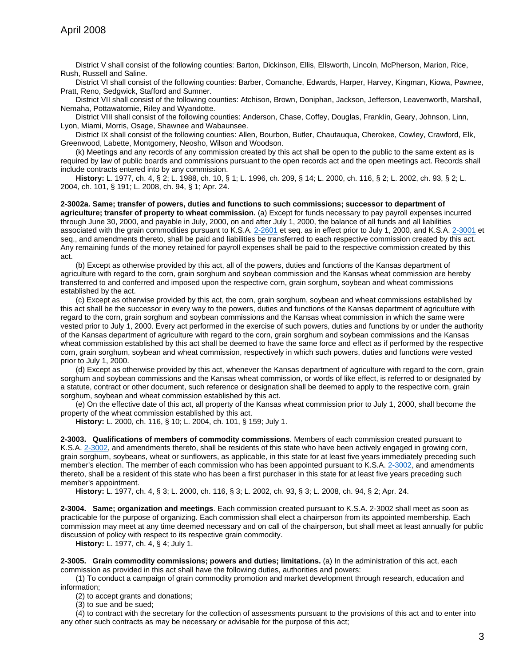District V shall consist of the following counties: Barton, Dickinson, Ellis, Ellsworth, Lincoln, McPherson, Marion, Rice, Rush, Russell and Saline.

District VI shall consist of the following counties: Barber, Comanche, Edwards, Harper, Harvey, Kingman, Kiowa, Pawnee, Pratt, Reno, Sedgwick, Stafford and Sumner.

District VII shall consist of the following counties: Atchison, Brown, Doniphan, Jackson, Jefferson, Leavenworth, Marshall, Nemaha, Pottawatomie, Riley and Wyandotte.

District VIII shall consist of the following counties: Anderson, Chase, Coffey, Douglas, Franklin, Geary, Johnson, Linn, Lyon, Miami, Morris, Osage, Shawnee and Wabaunsee.

District IX shall consist of the following counties: Allen, Bourbon, Butler, Chautauqua, Cherokee, Cowley, Crawford, Elk, Greenwood, Labette, Montgomery, Neosho, Wilson and Woodson.

(k) Meetings and any records of any commission created by this act shall be open to the public to the same extent as is required by law of public boards and commissions pursuant to the open records act and the open meetings act. Records shall include contracts entered into by any commission.

**History:** L. 1977, ch. 4, § 2; L. 1988, ch. 10, § 1; L. 1996, ch. 209, § 14; L. 2000, ch. 116, § 2; L. 2002, ch. 93, § 2; L. 2004, ch. 101, § 191; L. 2008, ch. 94, § 1; Apr. 24.

**2-3002a. Same; transfer of powers, duties and functions to such commissions; successor to department of agriculture; transfer of property to wheat commission.** (a) Except for funds necessary to pay payroll expenses incurred through June 30, 2000, and payable in July, 2000, on and after July 1, 2000, the balance of all funds and all liabilities associated with the grain commodities pursuant to K.S.A. [2-2601](http://www.ksrevisor.org/statutes/chapters/ch02/002_026_0001.html) et seq. as in effect prior to July 1, 2000, and K.S.A. [2-3001](http://www.ksrevisor.org/statutes/chapters/ch02/002_030_0001.html) et seq., and amendments thereto, shall be paid and liabilities be transferred to each respective commission created by this act. Any remaining funds of the money retained for payroll expenses shall be paid to the respective commission created by this act.

(b) Except as otherwise provided by this act, all of the powers, duties and functions of the Kansas department of agriculture with regard to the corn, grain sorghum and soybean commission and the Kansas wheat commission are hereby transferred to and conferred and imposed upon the respective corn, grain sorghum, soybean and wheat commissions established by the act.

(c) Except as otherwise provided by this act, the corn, grain sorghum, soybean and wheat commissions established by this act shall be the successor in every way to the powers, duties and functions of the Kansas department of agriculture with regard to the corn, grain sorghum and soybean commissions and the Kansas wheat commission in which the same were vested prior to July 1, 2000. Every act performed in the exercise of such powers, duties and functions by or under the authority of the Kansas department of agriculture with regard to the corn, grain sorghum and soybean commissions and the Kansas wheat commission established by this act shall be deemed to have the same force and effect as if performed by the respective corn, grain sorghum, soybean and wheat commission, respectively in which such powers, duties and functions were vested prior to July 1, 2000.

(d) Except as otherwise provided by this act, whenever the Kansas department of agriculture with regard to the corn, grain sorghum and soybean commissions and the Kansas wheat commission, or words of like effect, is referred to or designated by a statute, contract or other document, such reference or designation shall be deemed to apply to the respective corn, grain sorghum, soybean and wheat commission established by this act.

(e) On the effective date of this act, all property of the Kansas wheat commission prior to July 1, 2000, shall become the property of the wheat commission established by this act.

**History:** L. 2000, ch. 116, § 10; L. 2004, ch. 101, § 159; July 1.

**2-3003. Qualifications of members of commodity commissions**. Members of each commission created pursuant to K.S.A. [2-3002,](http://www.ksrevisor.org/statutes/chapters/ch02/002_030_0002.html) and amendments thereto, shall be residents of this state who have been actively engaged in growing corn, grain sorghum, soybeans, wheat or sunflowers, as applicable, in this state for at least five years immediately preceding such member's election. The member of each commission who has been appointed pursuant to K.S.A. [2-3002,](http://www.ksrevisor.org/statutes/chapters/ch02/002_030_0002.html) and amendments thereto, shall be a resident of this state who has been a first purchaser in this state for at least five years preceding such member's appointment.

**History:** L. 1977, ch. 4, § 3; L. 2000, ch. 116, § 3; L. 2002, ch. 93, § 3; L. 2008, ch. 94, § 2; Apr. 24.

**2-3004. Same; organization and meetings**. Each commission created pursuant to K.S.A. 2-3002 shall meet as soon as practicable for the purpose of organizing. Each commission shall elect a chairperson from its appointed membership. Each commission may meet at any time deemed necessary and on call of the chairperson, but shall meet at least annually for public discussion of policy with respect to its respective grain commodity.

**History:** L. 1977, ch. 4, § 4; July 1.

**2-3005. Grain commodity commissions; powers and duties; limitations.** (a) In the administration of this act, each commission as provided in this act shall have the following duties, authorities and powers:

(1) To conduct a campaign of grain commodity promotion and market development through research, education and information;

(2) to accept grants and donations;

(3) to sue and be sued;

(4) to contract with the secretary for the collection of assessments pursuant to the provisions of this act and to enter into any other such contracts as may be necessary or advisable for the purpose of this act;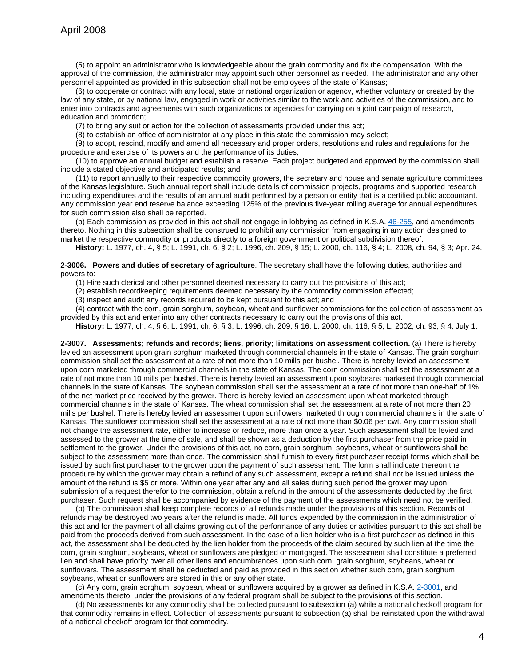(5) to appoint an administrator who is knowledgeable about the grain commodity and fix the compensation. With the approval of the commission, the administrator may appoint such other personnel as needed. The administrator and any other personnel appointed as provided in this subsection shall not be employees of the state of Kansas;

(6) to cooperate or contract with any local, state or national organization or agency, whether voluntary or created by the law of any state, or by national law, engaged in work or activities similar to the work and activities of the commission, and to enter into contracts and agreements with such organizations or agencies for carrying on a joint campaign of research, education and promotion;

(7) to bring any suit or action for the collection of assessments provided under this act;

(8) to establish an office of administrator at any place in this state the commission may select;

(9) to adopt, rescind, modify and amend all necessary and proper orders, resolutions and rules and regulations for the procedure and exercise of its powers and the performance of its duties;

(10) to approve an annual budget and establish a reserve. Each project budgeted and approved by the commission shall include a stated objective and anticipated results; and

(11) to report annually to their respective commodity growers, the secretary and house and senate agriculture committees of the Kansas legislature. Such annual report shall include details of commission projects, programs and supported research including expenditures and the results of an annual audit performed by a person or entity that is a certified public accountant. Any commission year end reserve balance exceeding 125% of the previous five-year rolling average for annual expenditures for such commission also shall be reported.

(b) Each commission as provided in this act shall not engage in lobbying as defined in K.S.A. [46-255,](http://www.ksrevisor.org/statutes/chapters/ch46/046_002_0055.html) and amendments thereto. Nothing in this subsection shall be construed to prohibit any commission from engaging in any action designed to market the respective commodity or products directly to a foreign government or political subdivision thereof.

**History:** L. 1977, ch. 4, § 5; L. 1991, ch. 6, § 2; L. 1996, ch. 209, § 15; L. 2000, ch. 116, § 4; L. 2008, ch. 94, § 3; Apr. 24.

**2-3006. Powers and duties of secretary of agriculture**. The secretary shall have the following duties, authorities and powers to:

(1) Hire such clerical and other personnel deemed necessary to carry out the provisions of this act;

(2) establish recordkeeping requirements deemed necessary by the commodity commission affected;

(3) inspect and audit any records required to be kept pursuant to this act; and

(4) contract with the corn, grain sorghum, soybean, wheat and sunflower commissions for the collection of assessment as provided by this act and enter into any other contracts necessary to carry out the provisions of this act.

**History:** L. 1977, ch. 4, § 6; L. 1991, ch. 6, § 3; L. 1996, ch. 209, § 16; L. 2000, ch. 116, § 5; L. 2002, ch. 93, § 4; July 1.

**2-3007. Assessments; refunds and records; liens, priority; limitations on assessment collection.** (a) There is hereby levied an assessment upon grain sorghum marketed through commercial channels in the state of Kansas. The grain sorghum commission shall set the assessment at a rate of not more than 10 mills per bushel. There is hereby levied an assessment upon corn marketed through commercial channels in the state of Kansas. The corn commission shall set the assessment at a rate of not more than 10 mills per bushel. There is hereby levied an assessment upon soybeans marketed through commercial channels in the state of Kansas. The soybean commission shall set the assessment at a rate of not more than one-half of 1% of the net market price received by the grower. There is hereby levied an assessment upon wheat marketed through commercial channels in the state of Kansas. The wheat commission shall set the assessment at a rate of not more than 20 mills per bushel. There is hereby levied an assessment upon sunflowers marketed through commercial channels in the state of Kansas. The sunflower commission shall set the assessment at a rate of not more than \$0.06 per cwt. Any commission shall not change the assessment rate, either to increase or reduce, more than once a year. Such assessment shall be levied and assessed to the grower at the time of sale, and shall be shown as a deduction by the first purchaser from the price paid in settlement to the grower. Under the provisions of this act, no corn, grain sorghum, soybeans, wheat or sunflowers shall be subject to the assessment more than once. The commission shall furnish to every first purchaser receipt forms which shall be issued by such first purchaser to the grower upon the payment of such assessment. The form shall indicate thereon the procedure by which the grower may obtain a refund of any such assessment, except a refund shall not be issued unless the amount of the refund is \$5 or more. Within one year after any and all sales during such period the grower may upon submission of a request therefor to the commission, obtain a refund in the amount of the assessments deducted by the first purchaser. Such request shall be accompanied by evidence of the payment of the assessments which need not be verified.

(b) The commission shall keep complete records of all refunds made under the provisions of this section. Records of refunds may be destroyed two years after the refund is made. All funds expended by the commission in the administration of this act and for the payment of all claims growing out of the performance of any duties or activities pursuant to this act shall be paid from the proceeds derived from such assessment. In the case of a lien holder who is a first purchaser as defined in this act, the assessment shall be deducted by the lien holder from the proceeds of the claim secured by such lien at the time the corn, grain sorghum, soybeans, wheat or sunflowers are pledged or mortgaged. The assessment shall constitute a preferred lien and shall have priority over all other liens and encumbrances upon such corn, grain sorghum, soybeans, wheat or sunflowers. The assessment shall be deducted and paid as provided in this section whether such corn, grain sorghum, soybeans, wheat or sunflowers are stored in this or any other state.

(c) Any corn, grain sorghum, soybean, wheat or sunflowers acquired by a grower as defined in K.S.A. [2-3001,](http://www.ksrevisor.org/statutes/chapters/ch02/002_030_0001.html) and amendments thereto, under the provisions of any federal program shall be subject to the provisions of this section.

(d) No assessments for any commodity shall be collected pursuant to subsection (a) while a national checkoff program for that commodity remains in effect. Collection of assessments pursuant to subsection (a) shall be reinstated upon the withdrawal of a national checkoff program for that commodity.